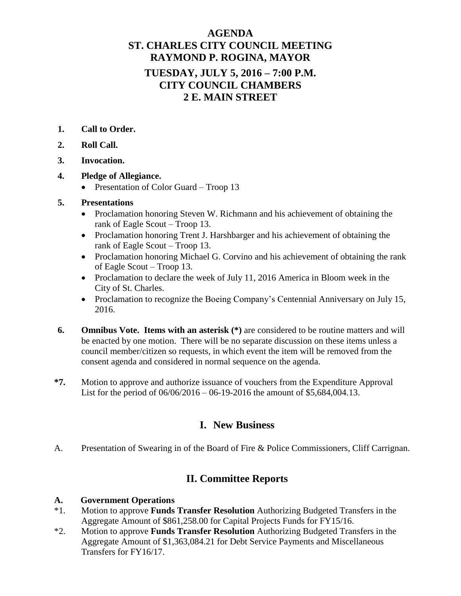# **AGENDA ST. CHARLES CITY COUNCIL MEETING RAYMOND P. ROGINA, MAYOR TUESDAY, JULY 5, 2016 – 7:00 P.M. CITY COUNCIL CHAMBERS 2 E. MAIN STREET**

- **1. Call to Order.**
- **2. Roll Call.**
- **3. Invocation.**
- **4. Pledge of Allegiance.**
	- Presentation of Color Guard Troop 13

### **5. Presentations**

- Proclamation honoring Steven W. Richmann and his achievement of obtaining the rank of Eagle Scout – Troop 13.
- Proclamation honoring Trent J. Harshbarger and his achievement of obtaining the rank of Eagle Scout – Troop 13.
- Proclamation honoring Michael G. Corvino and his achievement of obtaining the rank of Eagle Scout – Troop 13.
- Proclamation to declare the week of July 11, 2016 America in Bloom week in the City of St. Charles.
- Proclamation to recognize the Boeing Company's Centennial Anniversary on July 15, 2016.
- **6. Omnibus Vote. Items with an asterisk (\*)** are considered to be routine matters and will be enacted by one motion. There will be no separate discussion on these items unless a council member/citizen so requests, in which event the item will be removed from the consent agenda and considered in normal sequence on the agenda.
- **\*7.** Motion to approve and authorize issuance of vouchers from the Expenditure Approval List for the period of 06/06/2016 – 06-19-2016 the amount of \$5,684,004.13.

## **I. New Business**

A. Presentation of Swearing in of the Board of Fire & Police Commissioners, Cliff Carrignan.

## **II. Committee Reports**

#### **A. Government Operations**

- \*1. Motion to approve **Funds Transfer Resolution** Authorizing Budgeted Transfers in the Aggregate Amount of \$861,258.00 for Capital Projects Funds for FY15/16.
- \*2. Motion to approve **Funds Transfer Resolution** Authorizing Budgeted Transfers in the Aggregate Amount of \$1,363,084.21 for Debt Service Payments and Miscellaneous Transfers for FY16/17.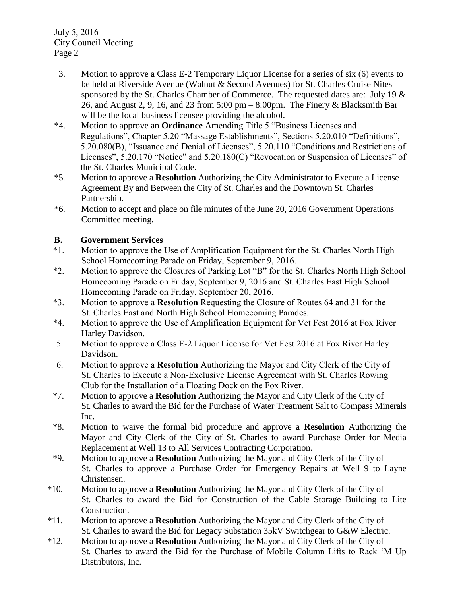July 5, 2016 City Council Meeting Page 2

- 3. Motion to approve a Class E-2 Temporary Liquor License for a series of six (6) events to be held at Riverside Avenue (Walnut & Second Avenues) for St. Charles Cruise Nites sponsored by the St. Charles Chamber of Commerce. The requested dates are: July 19 & 26, and August 2, 9, 16, and 23 from 5:00 pm – 8:00pm. The Finery & Blacksmith Bar will be the local business licensee providing the alcohol.
- \*4. Motion to approve an **Ordinance** Amending Title 5 "Business Licenses and Regulations", Chapter 5.20 "Massage Establishments", Sections 5.20.010 "Definitions", 5.20.080(B), "Issuance and Denial of Licenses", 5.20.110 "Conditions and Restrictions of Licenses", 5.20.170 "Notice" and 5.20.180(C) "Revocation or Suspension of Licenses" of the St. Charles Municipal Code.
- \*5. Motion to approve a **Resolution** Authorizing the City Administrator to Execute a License Agreement By and Between the City of St. Charles and the Downtown St. Charles Partnership.
- \*6. Motion to accept and place on file minutes of the June 20, 2016 Government Operations Committee meeting.

### **B. Government Services**

- \*1. Motion to approve the Use of Amplification Equipment for the St. Charles North High School Homecoming Parade on Friday, September 9, 2016.
- \*2. Motion to approve the Closures of Parking Lot "B" for the St. Charles North High School Homecoming Parade on Friday, September 9, 2016 and St. Charles East High School Homecoming Parade on Friday, September 20, 2016.
- \*3. Motion to approve a **Resolution** Requesting the Closure of Routes 64 and 31 for the St. Charles East and North High School Homecoming Parades.
- \*4. Motion to approve the Use of Amplification Equipment for Vet Fest 2016 at Fox River Harley Davidson.
- 5. Motion to approve a Class E-2 Liquor License for Vet Fest 2016 at Fox River Harley Davidson.
- 6. Motion to approve a **Resolution** Authorizing the Mayor and City Clerk of the City of St. Charles to Execute a Non-Exclusive License Agreement with St. Charles Rowing Club for the Installation of a Floating Dock on the Fox River.
- \*7. Motion to approve a **Resolution** Authorizing the Mayor and City Clerk of the City of St. Charles to award the Bid for the Purchase of Water Treatment Salt to Compass Minerals Inc.
- \*8. Motion to waive the formal bid procedure and approve a **Resolution** Authorizing the Mayor and City Clerk of the City of St. Charles to award Purchase Order for Media Replacement at Well 13 to All Services Contracting Corporation.
- \*9. Motion to approve a **Resolution** Authorizing the Mayor and City Clerk of the City of St. Charles to approve a Purchase Order for Emergency Repairs at Well 9 to Layne Christensen.
- \*10. Motion to approve a **Resolution** Authorizing the Mayor and City Clerk of the City of St. Charles to award the Bid for Construction of the Cable Storage Building to Lite Construction.
- \*11. Motion to approve a **Resolution** Authorizing the Mayor and City Clerk of the City of St. Charles to award the Bid for Legacy Substation 35kV Switchgear to G&W Electric.
- \*12. Motion to approve a **Resolution** Authorizing the Mayor and City Clerk of the City of St. Charles to award the Bid for the Purchase of Mobile Column Lifts to Rack 'M Up Distributors, Inc.